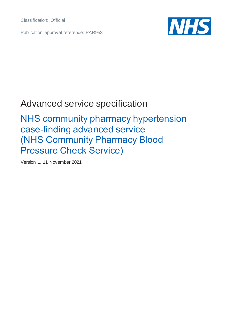Classification: Official

Publication approval reference: PAR953



## Advanced service specification

## NHS community pharmacy hypertension case-finding advanced service (NHS Community Pharmacy Blood Pressure Check Service)

Version 1, 11 November 2021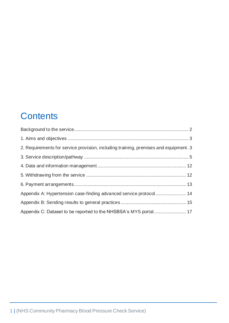# **Contents**

| 2. Requirements for service provision, including training, premises and equipment. 3 |  |
|--------------------------------------------------------------------------------------|--|
|                                                                                      |  |
|                                                                                      |  |
|                                                                                      |  |
|                                                                                      |  |
| Appendix A: Hypertension case-finding advanced service protocol 14                   |  |
|                                                                                      |  |
| Appendix C: Dataset to be reported to the NHSBSA's MYS portal 17                     |  |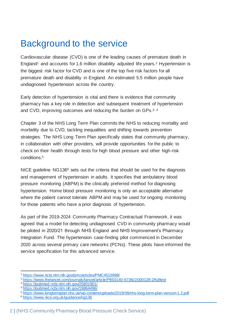# <span id="page-2-0"></span>Background to the service

Cardiovascular disease (CVD) is one of the leading causes of premature death in England<sup>1</sup> and accounts for 1.6 million disability adjusted life years.<sup>2</sup> Hypertension is the biggest risk factor for CVD and is one of the top five risk factors for all premature death and disability in England. An estimated 5.5 million people have undiagnosed hypertension across the country.

Early detection of hypertension is vital and there is evidence that community pharmacy has a key role in detection and subsequent treatment of hypertension and CVD, improving outcomes and reducing the burden on GPs.<sup>3, 4</sup>

Chapter 3 of the NHS Long Term Plan commits the NHS to reducing mortality and morbidity due to CVD, tackling inequalities and shifting towards prevention strategies. The NHS Long Term Plan specifically states that community pharmacy, in collaboration with other providers, will provide opportunities for the public to check on their health through tests for high blood pressure and other high-risk conditions.<sup>5</sup>

NICE quideline NG136<sup>6</sup> sets out the criteria that should be used for the diagnosis and management of hypertension in adults. It specifies that ambulatory blood pressure monitoring (ABPM) is the clinically preferred method for diagnosing hypertension. Home blood pressure monitoring is only an acceptable alternative where the patient cannot tolerate ABPM and may be used for ongoing monitoring for those patients who have a prior diagnosis of hypertension.

As part of the 2019-2024 Community Pharmacy Contractual Framework, it was agreed that a model for detecting undiagnosed CVD in community pharmacy would be piloted in 2020/21 through NHS England and NHS Improvement's Pharmacy Integration Fund. The hypertension case-finding pilot commenced in December 2020 across several primary care networks (PCNs). These pilots have informed the service specification for this advanced service.

<https://www.ncbi.nlm.nih.gov/pmc/articles/PMC4515998/>

<sup>&</sup>lt;sup>2</sup> [https://www.thelancet.com/journals/lancet/article/PIIS0140-6736\(15\)00128-2/fulltext](https://www.thelancet.com/journals/lancet/article/PIIS0140-6736(15)00128-2/fulltext)

<sup>3</sup> <https://pubmed.ncbi.nlm.nih.gov/25801901/>

<https://pubmed.ncbi.nlm.nih.gov/19864496/>

<sup>5</sup> <https://www.longtermplan.nhs.uk/wp-content/uploads/2019/08/nhs-long-term-plan-version-1.2.pdf>

<sup>6</sup> <https://www.nice.org.uk/guidance/ng136>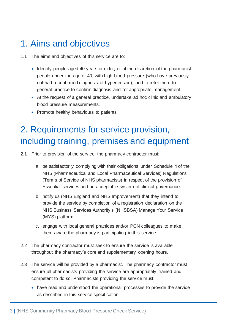### <span id="page-3-0"></span>1. Aims and objectives

- 1.1 The aims and objectives of this service are to:
	- Identify people aged 40 years or older, or at the discretion of the pharmacist people under the age of 40, with high blood pressure (who have previously not had a confirmed diagnosis of hypertension), and to refer them to general practice to confirm diagnosis and for appropriate management.
	- At the request of a general practice, undertake ad hoc clinic and ambulatory blood pressure measurements.
	- Promote healthy behaviours to patients.

# <span id="page-3-1"></span>2. Requirements for service provision, including training, premises and equipment

- 2.1 Prior to provision of the service, the pharmacy contractor must:
	- a. be satisfactorily complying with their obligations under Schedule 4 of the NHS (Pharmaceutical and Local Pharmaceutical Services) Regulations (Terms of Service of NHS pharmacists) in respect of the provision of Essential services and an acceptable system of clinical governance.
	- b. notify us (NHS England and NHS Improvement) that they intend to provide the service by completion of a registration declaration on the NHS Business Services Authority's (NHSBSA) Manage Your Service (MYS) platform.
	- c. engage with local general practices and/or PCN colleagues to make them aware the pharmacy is participating in this service.
- 2.2 The pharmacy contractor must seek to ensure the service is available throughout the pharmacy's core and supplementary opening hours.
- 2.3 The service will be provided by a pharmacist. The pharmacy contractor must ensure all pharmacists providing the service are appropriately trained and competent to do so. Pharmacists providing the service must:
	- have read and understood the operational processes to provide the service as described in this service specification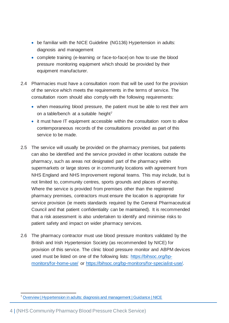- be familiar with the NICE Guideline (NG136) Hypertension in adults: diagnosis and management
- complete training (e-learning or face-to-face) on how to use the blood pressure monitoring equipment which should be provided by their equipment manufacturer.
- 2.4 Pharmacies must have a consultation room that will be used for the provision of the service which meets the requirements in the terms of service. The consultation room should also comply with the following requirements:
	- when measuring blood pressure, the patient must be able to rest their arm on a table/bench at a suitable height<sup>7</sup>
	- it must have IT equipment accessible within the consultation room to allow contemporaneous records of the consultations provided as part of this service to be made.
- 2.5 The service will usually be provided on the pharmacy premises, but patients can also be identified and the service provided in other locations outside the pharmacy, such as areas not designated part of the pharmacy within supermarkets or large stores or in community locations with agreement from NHS England and NHS Improvement regional teams. This may include, but is not limited to, community centres, sports grounds and places of worship. Where the service is provided from premises other than the registered pharmacy premises, contractors must ensure the location is appropriate for service provision (ie meets standards required by the General Pharmaceutical Council and that patient confidentiality can be maintained). It is recommended that a risk assessment is also undertaken to identify and minimise risks to patient safety and impact on wider pharmacy services.
- 2.6 The pharmacy contractor must use blood pressure monitors validated by the British and Irish Hypertension Society (as recommended by NICE) for provision of this service. The clinic blood pressure monitor and ABPM devices used must be listed on one of the following lists: [https://bihsoc.org/bp](https://bihsoc.org/bp-monitors/for-home-use/)[monitors/for-home-use/](https://bihsoc.org/bp-monitors/for-home-use/) or [https://bihsoc.org/bp-monitors/for-specialist-use/.](https://bihsoc.org/bp-monitors/for-specialist-use/)

<sup>7</sup> Overview | Hypertension [in adults: diagnosis and management | Guidance | NICE](https://www.nice.org.uk/guidance/ng136)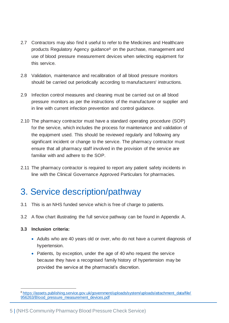- 2.7 Contractors may also find it useful to refer to the Medicines and Healthcare products Regulatory Agency guidance<sup>8</sup> on the purchase, management and use of blood pressure measurement devices when selecting equipment for this service.
- 2.8 Validation, maintenance and recalibration of all blood pressure monitors should be carried out periodically according to manufacturers' instructions.
- 2.9 Infection control measures and cleaning must be carried out on all blood pressure monitors as per the instructions of the manufacturer or supplier and in line with current infection prevention and control guidance.
- 2.10 The pharmacy contractor must have a standard operating procedure (SOP) for the service, which includes the process for maintenance and validation of the equipment used. This should be reviewed regularly and following any significant incident or change to the service. The pharmacy contractor must ensure that all pharmacy staff involved in the provision of the service are familiar with and adhere to the SOP.
- 2.11 The pharmacy contractor is required to report any patient safety incidents in line with the Clinical Governance Approved Particulars for pharmacies.

## <span id="page-5-0"></span>3. Service description/pathway

- 3.1 This is an NHS funded service which is free of charge to patients.
- 3.2 A flow chart illustrating the full service pathway can be found in Appendix A.

#### **3.3 Inclusion criteria:**

- Adults who are 40 years old or over, who do not have a current diagnosis of hypertension.
- Patients, by exception, under the age of 40 who request the service because they have a recognised family history of hypertension may be provided the service at the pharmacist's discretion.

<sup>8</sup> [https://assets.publishing.service.gov.uk/government/uploads/system/uploads/attachment\\_data/file/](https://assets.publishing.service.gov.uk/government/uploads/system/uploads/attachment_data/file/956263/Blood_pressure_measurement_devices.pdf) [956263/Blood\\_pressure\\_measurement\\_devices.pdf](https://assets.publishing.service.gov.uk/government/uploads/system/uploads/attachment_data/file/956263/Blood_pressure_measurement_devices.pdf)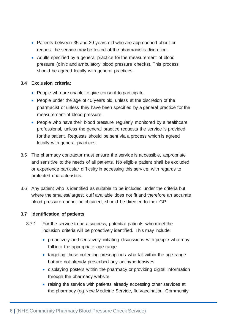- Patients between 35 and 39 years old who are approached about or request the service may be tested at the pharmacist's discretion.
- Adults specified by a general practice for the measurement of blood pressure (clinic and ambulatory blood pressure checks). This process should be agreed locally with general practices.

#### **3.4 Exclusion criteria:**

- People who are unable to give consent to participate.
- People under the age of 40 years old, unless at the discretion of the pharmacist or unless they have been specified by a general practice for the measurement of blood pressure.
- People who have their blood pressure regularly monitored by a healthcare professional, unless the general practice requests the service is provided for the patient. Requests should be sent via a process which is agreed locally with general practices.
- 3.5 The pharmacy contractor must ensure the service is accessible, appropriate and sensitive to the needs of all patients. No eligible patient shall be excluded or experience particular difficulty in accessing this service, with regards to protected characteristics.
- 3.6 Any patient who is identified as suitable to be included under the criteria but where the smallest/largest cuff available does not fit and therefore an accurate blood pressure cannot be obtained, should be directed to their GP.

#### **3.7 Identification of patients**

- 3.7.1 For the service to be a success, potential patients who meet the inclusion criteria will be proactively identified. This may include:
	- proactively and sensitively initiating discussions with people who may fall into the appropriate age range
	- targeting those collecting prescriptions who fall within the age range but are not already prescribed any antihypertensives
	- displaying posters within the pharmacy or providing digital information through the pharmacy website
	- raising the service with patients already accessing other services at the pharmacy (eg New Medicine Service, flu vaccination, Community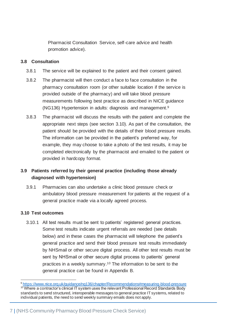Pharmacist Consultation Service, self-care advice and health promotion advice).

#### **3.8 Consultation**

- 3.8.1 The service will be explained to the patient and their consent gained.
- 3.8.2 The pharmacist will then conduct a face to face consultation in the pharmacy consultation room (or other suitable location if the service is provided outside of the pharmacy) and will take blood pressure measurements following best practice as described in NICE guidance (NG136) Hypertension in adults: diagnosis and management. 9
- 3.8.3 The pharmacist will discuss the results with the patient and complete the appropriate next steps (see section 3.10). As part of the consultation, the patient should be provided with the details of their blood pressure results. The information can be provided in the patient's preferred way, for example, they may choose to take a photo of the test results, it may be completed electronically by the pharmacist and emailed to the patient or provided in hardcopy format.

### **3.9 Patients referred by their general practice (including those already diagnosed with hypertension)**

3.9.1 Pharmacies can also undertake a clinic blood pressure check or ambulatory blood pressure measurement for patients at the request of a general practice made via a locally agreed process.

#### **3.10 Test outcomes**

3.10.1 All test results must be sent to patients' registered general practices. Some test results indicate urgent referrals are needed (see details below) and in these cases the pharmacist will telephone the patient's general practice and send their blood pressure test results immediately by NHSmail or other secure digital process. All other test results must be sent by NHSmail or other secure digital process to patients' general practices in a weekly summary.<sup>10</sup> The information to be sent to the general practice can be found in Appendix B.

<sup>9</sup> <https://www.nice.org.uk/guidance/ng136/chapter/Recommendations#measuring-blood-pressure> <sup>10</sup> Where a contractor's clinical IT system uses the relevant Professional Record Standards Body standards to send structured, interoperable messages to general practice IT systems, related to individual patients, the need to send weekly summary emails does not apply.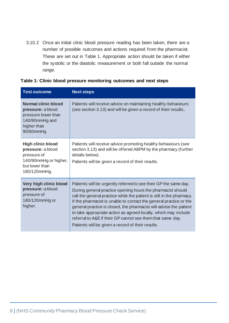3.10.2 Once an initial clinic blood pressure reading has been taken, there are a number of possible outcomes and actions required from the pharmacist. These are set out in Table 1. Appropriate action should be taken if either the systolic or the diastolic measurement or both fall outside the normal range.

| <b>Test outcome</b>                                                                                                     | <b>Next steps</b>                                                                                                                                                                                                                                                                                                                                                                                                                                                                                                                          |
|-------------------------------------------------------------------------------------------------------------------------|--------------------------------------------------------------------------------------------------------------------------------------------------------------------------------------------------------------------------------------------------------------------------------------------------------------------------------------------------------------------------------------------------------------------------------------------------------------------------------------------------------------------------------------------|
| <b>Normal clinic blood</b><br>pressure: a blood<br>pressure lower than<br>140/90mmHg and<br>higher than<br>90/60mmHg.   | Patients will receive advice on maintaining healthy behaviours<br>(see section 3.13) and will be given a record of their results.                                                                                                                                                                                                                                                                                                                                                                                                          |
| <b>High clinic blood</b><br>pressure: a blood<br>pressure of<br>140/90mmHg or higher,<br>but lower than<br>180/120mmHg. | Patients will receive advice promoting healthy behaviours (see<br>section 3.13) and will be offered ABPM by the pharmacy (further<br>details below).<br>Patients will be given a record of their results.                                                                                                                                                                                                                                                                                                                                  |
| Very high clinic blood<br>pressure: a blood<br>pressure of<br>180/120mmHg or<br>higher.                                 | Patients will be urgently referred to see their GP the same day.<br>During general practice opening hours the pharmacist should<br>call the general practice while the patient is still in the pharmacy.<br>If the pharmacist is unable to contact the general practice or the<br>general practice is closed, the pharmacist will advise the patient<br>to take appropriate action as agreed locally, which may include<br>referral to A&E if their GP cannot see them that same day.<br>Patients will be given a record of their results. |

#### **Table 1: Clinic blood pressure monitoring outcomes and next steps**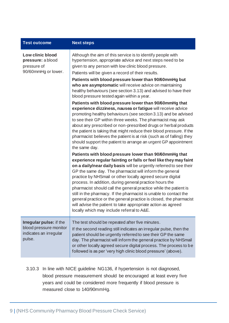| <b>Test outcome</b>                                                                   | <b>Next steps</b>                                                                                                                                                                                                                                                                                                                                                                                                                                                                                                                                                                                                                                      |
|---------------------------------------------------------------------------------------|--------------------------------------------------------------------------------------------------------------------------------------------------------------------------------------------------------------------------------------------------------------------------------------------------------------------------------------------------------------------------------------------------------------------------------------------------------------------------------------------------------------------------------------------------------------------------------------------------------------------------------------------------------|
| Low clinic blood<br>pressure: a blood<br>pressure of<br>90/60mmHg or lower.           | Although the aim of this service is to identify people with<br>hypertension, appropriate advice and next steps need to be<br>given to any person with low clinic blood pressure.<br>Patients will be given a record of their results.                                                                                                                                                                                                                                                                                                                                                                                                                  |
|                                                                                       | Patients with blood pressure lower than 90/60mmHg but<br>who are asymptomatic will receive advice on maintaining<br>healthy behaviours (see section 3.13) and advised to have their<br>blood pressure tested again within a year.                                                                                                                                                                                                                                                                                                                                                                                                                      |
|                                                                                       | Patients with blood pressure lower than 90/60mmHg that<br>experience dizziness, nausea or fatigue will receive advice<br>promoting healthy behaviours (see section 3.13) and be advised<br>to see their GP within three weeks. The pharmacist may ask<br>about any prescribed or non-prescribed drugs or herbal products<br>the patient is taking that might reduce their blood pressure. If the<br>pharmacist believes the patient is at risk (such as of falling) they<br>should support the patient to arrange an urgent GP appointment<br>the same day.                                                                                            |
|                                                                                       | Patients with blood pressure lower than 90/60mmHg that                                                                                                                                                                                                                                                                                                                                                                                                                                                                                                                                                                                                 |
|                                                                                       | experience regular fainting or falls or feel like they may faint<br>on a daily/near daily basis will be urgently referred to see their<br>GP the same day. The pharmacist will inform the general<br>practice by NHSmail or other locally agreed secure digital<br>process. In addition, during general practice hours the<br>pharmacist should call the general practice while the patient is<br>still in the pharmacy. If the pharmacist is unable to contact the<br>general practice or the general practice is closed, the pharmacist<br>will advise the patient to take appropriate action as agreed<br>locally which may include referral to A&E |
| Irregular pulse: if the<br>blood pressure monitor<br>indicates an irregular<br>pulse. | The test should be repeated after five minutes.<br>If the second reading still indicates an irregular pulse, then the<br>patient should be urgently referred to see their GP the same<br>day. The pharmacist will inform the general practice by NHSmail<br>or other locally agreed secure digital process. The process to be<br>followed is as per 'very high clinic blood pressure' (above).                                                                                                                                                                                                                                                         |

3.10.3 In line with NICE guideline NG136, if hypertension is not diagnosed, blood pressure measurement should be encouraged at least every five years and could be considered more frequently if blood pressure is measured close to 140/90mmHg.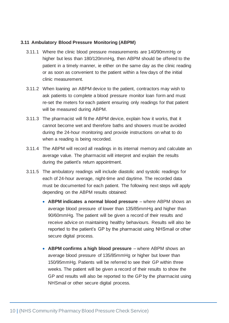#### **3.11 Ambulatory Blood Pressure Monitoring (ABPM)**

- 3.11.1 Where the clinic blood pressure measurements are 140/90mmHg or higher but less than 180/120mmHg, then ABPM should be offered to the patient in a timely manner, ie either on the same day as the clinic reading or as soon as convenient to the patient within a few days of the initial clinic measurement.
- 3.11.2 When loaning an ABPM device to the patient, contractors may wish to ask patients to complete a blood pressure monitor loan form and must re-set the meters for each patient ensuring only readings for that patient will be measured during ABPM.
- 3.11.3 The pharmacist will fit the ABPM device, explain how it works, that it cannot become wet and therefore baths and showers must be avoided during the 24-hour monitoring and provide instructions on what to do when a reading is being recorded.
- 3.11.4 The ABPM will record all readings in its internal memory and calculate an average value. The pharmacist will interpret and explain the results during the patient's return appointment.
- 3.11.5 The ambulatory readings will include diastolic and systolic readings for each of 24-hour average, night-time and daytime. The recorded data must be documented for each patient. The following next steps will apply depending on the ABPM results obtained:
	- **ABPM indicates a normal blood pressure** where ABPM shows an average blood pressure of lower than 135/85mmHg and higher than 90/60mmHg. The patient will be given a record of their results and receive advice on maintaining healthy behaviours. Results will also be reported to the patient's GP by the pharmacist using NHSmail or other secure digital process.
	- **ABPM confirms a high blood pressure** where ABPM shows an average blood pressure of 135/85mmHg or higher but lower than 150/95mmHg. Patients will be referred to see their GP within three weeks. The patient will be given a record of their results to show the GP and results will also be reported to the GP by the pharmacist using NHSmail or other secure digital process.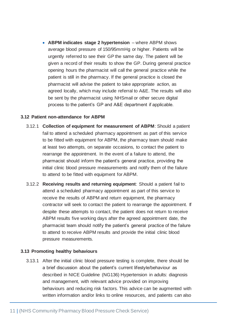• **ABPM indicates stage 2 hypertension** – where ABPM shows average blood pressure of 150/95mmHg or higher. Patients will be urgently referred to see their GP the same day. The patient will be given a record of their results to show the GP. During general practice opening hours the pharmacist will call the general practice while the patient is still in the pharmacy. If the general practice is closed the pharmacist will advise the patient to take appropriate action, as agreed locally, which may include referral to A&E. The results will also be sent by the pharmacist using NHSmail or other secure digital process to the patient's GP and A&E department if applicable.

#### **3.12 Patient non-attendance for ABPM**

- 3.12.1 **Collection of equipment for measurement of ABPM**: Should a patient fail to attend a scheduled pharmacy appointment as part of this service to be fitted with equipment for ABPM, the pharmacy team should make at least two attempts, on separate occasions, to contact the patient to rearrange the appointment. In the event of a failure to attend, the pharmacist should inform the patient's general practice, providing the initial clinic blood pressure measurements and notify them of the failure to attend to be fitted with equipment for ABPM.
- 3.12.2 **Receiving results and returning equipment**: Should a patient fail to attend a scheduled pharmacy appointment as part of this service to receive the results of ABPM and return equipment, the pharmacy contractor will seek to contact the patient to rearrange the appointment. If despite these attempts to contact, the patient does not return to receive ABPM results five working days after the agreed appointment date, the pharmacist team should notify the patient's general practice of the failure to attend to receive ABPM results and provide the initial clinic blood pressure measurements.

#### **3.13 Promoting healthy behaviours**

3.13.1 After the initial clinic blood pressure testing is complete, there should be a brief discussion about the patient's current lifestyle/behaviour as described in NICE Guideline (NG136) Hypertension in adults: diagnosis and management, with relevant advice provided on improving behaviours and reducing risk factors. This advice can be augmented with written information and/or links to online resources, and patients can also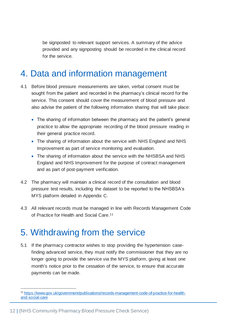be signposted to relevant support services. A summary of the advice provided and any signposting should be recorded in the clinical record for the service.

## <span id="page-12-0"></span>4. Data and information management

- 4.1 Before blood pressure measurements are taken, verbal consent must be sought from the patient and recorded in the pharmacy's clinical record for the service. This consent should cover the measurement of blood pressure and also advise the patient of the following information sharing that will take place:
	- The sharing of information between the pharmacy and the patient's general practice to allow the appropriate recording of the blood pressure reading in their general practice record.
	- The sharing of information about the service with NHS England and NHS Improvement as part of service monitoring and evaluation.
	- The sharing of information about the service with the NHSBSA and NHS England and NHS Improvement for the purpose of contract management and as part of post-payment verification.
- 4.2 The pharmacy will maintain a clinical record of the consultation and blood pressure test results, including the dataset to be reported to the NHSBSA's MYS platform detailed in Appendix C.
- 4.3 All relevant records must be managed in line with Records Management Code of Practice for Health and Social Care.<sup>11</sup>

### <span id="page-12-1"></span>5. Withdrawing from the service

5.1 If the pharmacy contractor wishes to stop providing the hypertension casefinding advanced service, they must notify the commissioner that they are no longer going to provide the service via the MYS platform, giving at least one month's notice prior to the cessation of the service, to ensure that accurate payments can be made.

<sup>11</sup> [https://www.gov.uk/government/publications/records-management-code-of-practice-for-health](https://www.gov.uk/government/publications/records-management-code-of-practice-for-health-and-social-care)[and-social-care](https://www.gov.uk/government/publications/records-management-code-of-practice-for-health-and-social-care)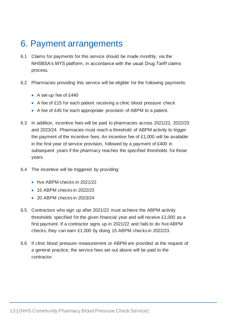### <span id="page-13-0"></span>6. Payment arrangements

- 6.1 Claims for payments for this service should be made monthly, via the NHSBSA's MYS platform, in accordance with the usual Drug Tariff claims process.
- 6.2 Pharmacies providing this service will be eligible for the following payments:
	- A set-up fee of £440
	- A fee of £15 for each patient receiving a clinic blood pressure check
	- A fee of £45 for each appropriate provision of ABPM to a patient.
- 6.3 In addition, incentive fees will be paid to pharmacies across 2021/22, 2022/23 and 2023/24. Pharmacies must reach a threshold of ABPM activity to trigger the payment of the incentive fees. An incentive fee of £1,000 will be available in the first year of service provision, followed by a payment of £400 in subsequent years if the pharmacy reaches the specified thresholds for those years.
- 6.4 The incentive will be triggered by providing:
	- five ABPM checks in 2021/22
	- 15 ABPM checks in 2022/23
	- 20 ABPM checks in 2023/24
- 6.5 Contractors who sign up after 2021/22 must achieve the ABPM activity thresholds specified for the given financial year and will receive £1,000 as a first payment. If a contractor signs up in 2021/22 and fails to do five ABPM checks, they can earn £1,000 by doing 15 ABPM checks in 2022/23.
- 6.6 If clinic blood pressure measurement or ABPM are provided at the request of a general practice, the service fees set out above will be paid to the contractor.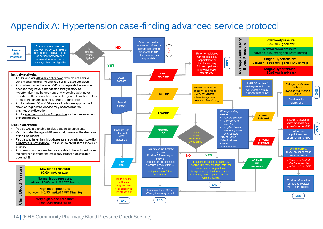## Appendix A: Hypertension case-finding advanced service protocol

<span id="page-14-0"></span>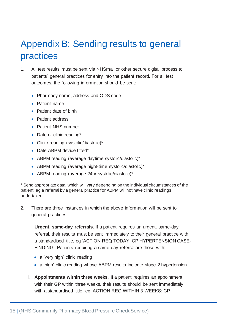# <span id="page-15-0"></span>Appendix B: Sending results to general practices

- 1. All test results must be sent via NHSmail or other secure digital process to patients' general practices for entry into the patient record. For all test outcomes, the following information should be sent:
	- Pharmacy name, address and ODS code
	- Patient name
	- Patient date of birth
	- Patient address
	- Patient NHS number
	- Date of clinic reading\*
	- Clinic reading (systolic/diastolic)\*
	- Date ABPM device fitted\*
	- ABPM reading (average daytime systolic/diastolic)\*
	- ABPM reading (average night-time systolic/diastolic)\*
	- ABPM reading (average 24hr systolic/diastolic)\*

\* Send appropriate data, which will vary depending on the individual circumstances of the patient, eg a referral by a general practice for ABPM will not have clinic readings undertaken.

- 2. There are three instances in which the above information will be sent to general practices.
	- i. **Urgent, same-day referrals**. If a patient requires an urgent, same-day referral, their results must be sent immediately to their general practice with a standardised title, eg 'ACTION REQ TODAY: CP HYPERTENSION CASE-FINDING'. Patients requiring a same-day referral are those with:
		- a 'very high' clinic reading
		- a 'high' clinic reading whose ABPM results indicate stage 2 hypertension
	- ii. **Appointments within three weeks**. If a patient requires an appointment with their GP within three weeks, their results should be sent immediately with a standardised title, eg 'ACTION REQ WITHIN 3 WEEKS: CP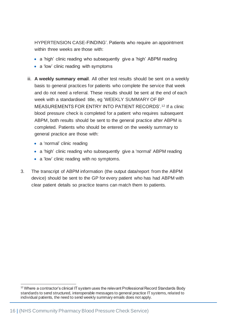HYPERTENSION CASE-FINDING'. Patients who require an appointment within three weeks are those with:

- a 'high' clinic reading who subsequently give a 'high' ABPM reading
- a 'low' clinic reading with symptoms
- iii. **A weekly summary email**. All other test results should be sent on a weekly basis to general practices for patients who complete the service that week and do not need a referral. These results should be sent at the end of each week with a standardised title, eg 'WEEKLY SUMMARY OF BP MEASUREMENTS FOR ENTRY INTO PATIENT RECORDS'.<sup>12</sup> If a clinic blood pressure check is completed for a patient who requires subsequent ABPM, both results should be sent to the general practice after ABPM is completed. Patients who should be entered on the weekly summary to general practice are those with:
	- a 'normal' clinic reading
	- a 'high' clinic reading who subsequently give a 'normal' ABPM reading
	- a 'low' clinic reading with no symptoms.
- 3. The transcript of ABPM information (the output data/report from the ABPM device) should be sent to the GP for every patient who has had ABPM with clear patient details so practice teams can match them to patients.

<sup>&</sup>lt;sup>12</sup> Where a contractor's clinical IT system uses the relevant Professional Record Standards Body standards to send structured, interoperable messages to general practice IT systems, related to individual patients, the need to send weekly summary emails does not apply.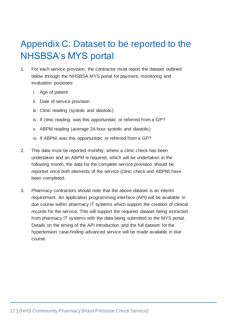# <span id="page-17-0"></span>Appendix C: Dataset to be reported to the NHSBSA's MYS portal

- 1. For each service provision, the contractor must report the dataset outlined below through the NHSBSA MYS portal for payment, monitoring and evaluation purposes:
	- i. Age of patient
	- ii. Date of service provision
	- iii. Clinic reading (systolic and diastolic)
	- iv. If clinic reading, was this opportunistic or referred from a GP?
	- v. ABPM reading (average 24-hour systolic and diastolic)
	- vi. If ABPM, was this opportunistic or referred from a GP?
- 2. This data must be reported monthly; where a clinic check has been undertaken and an ABPM is required, which will be undertaken in the following month, the data for the complete service provision should be reported once both elements of the service (clinic check and ABPM) have been completed.
- 3. Pharmacy contractors should note that the above dataset is an interim requirement. An application programming interface (API) will be available in due course within pharmacy IT systems which support the creation of clinical records for the service. This will support the required dataset being extracted from pharmacy IT systems with the data being submitted to the MYS portal. Details on the timing of the API introduction and the full dataset for the hypertension case-finding advanced service will be made available in due course.